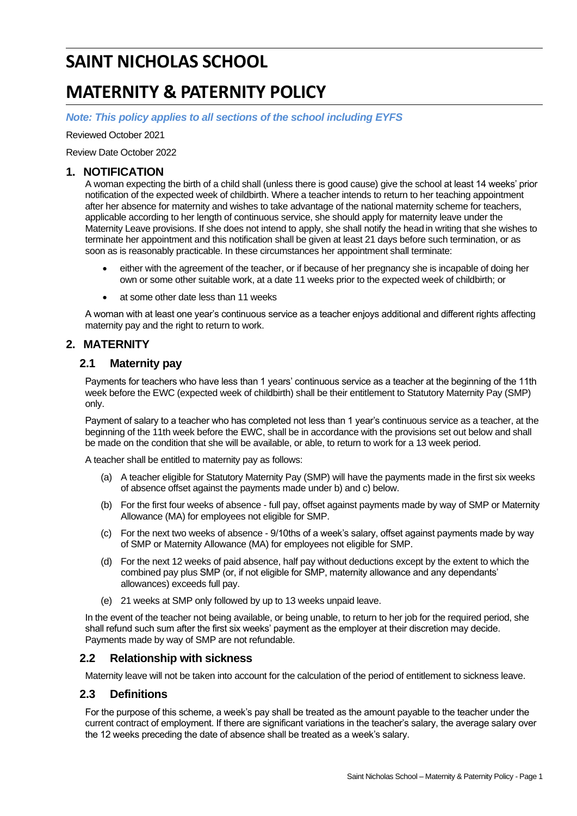# **SAINT NICHOLAS SCHOOL**

# **MATERNITY & PATERNITY POLICY**

*Note: This policy applies to all sections of the school including EYFS*

Reviewed October 2021

Review Date October 2022

#### **1. NOTIFICATION**

A woman expecting the birth of a child shall (unless there is good cause) give the school at least 14 weeks' prior notification of the expected week of childbirth. Where a teacher intends to return to her teaching appointment after her absence for maternity and wishes to take advantage of the national maternity scheme for teachers, applicable according to her length of continuous service, she should apply for maternity leave under the Maternity Leave provisions. If she does not intend to apply, she shall notify the head in writing that she wishes to terminate her appointment and this notification shall be given at least 21 days before such termination, or as soon as is reasonably practicable. In these circumstances her appointment shall terminate:

- either with the agreement of the teacher, or if because of her pregnancy she is incapable of doing her own or some other suitable work, at a date 11 weeks prior to the expected week of childbirth; or
- at some other date less than 11 weeks

A woman with at least one year's continuous service as a teacher enjoys additional and different rights affecting maternity pay and the right to return to work.

## **2. MATERNITY**

#### **2.1 Maternity pay**

Payments for teachers who have less than 1 years' continuous service as a teacher at the beginning of the 11th week before the EWC (expected week of childbirth) shall be their entitlement to Statutory Maternity Pay (SMP) only.

Payment of salary to a teacher who has completed not less than 1 year's continuous service as a teacher, at the beginning of the 11th week before the EWC, shall be in accordance with the provisions set out below and shall be made on the condition that she will be available, or able, to return to work for a 13 week period.

A teacher shall be entitled to maternity pay as follows:

- (a) A teacher eligible for Statutory Maternity Pay (SMP) will have the payments made in the first six weeks of absence offset against the payments made under b) and c) below.
- (b) For the first four weeks of absence full pay, offset against payments made by way of SMP or Maternity Allowance (MA) for employees not eligible for SMP.
- (c) For the next two weeks of absence 9/10ths of a week's salary, offset against payments made by way of SMP or Maternity Allowance (MA) for employees not eligible for SMP.
- (d) For the next 12 weeks of paid absence, half pay without deductions except by the extent to which the combined pay plus SMP (or, if not eligible for SMP, maternity allowance and any dependants' allowances) exceeds full pay.
- (e) 21 weeks at SMP only followed by up to 13 weeks unpaid leave.

In the event of the teacher not being available, or being unable, to return to her job for the required period, she shall refund such sum after the first six weeks' payment as the employer at their discretion may decide. Payments made by way of SMP are not refundable.

#### **2.2 Relationship with sickness**

Maternity leave will not be taken into account for the calculation of the period of entitlement to sickness leave.

#### **2.3 Definitions**

For the purpose of this scheme, a week's pay shall be treated as the amount payable to the teacher under the current contract of employment. If there are significant variations in the teacher's salary, the average salary over the 12 weeks preceding the date of absence shall be treated as a week's salary.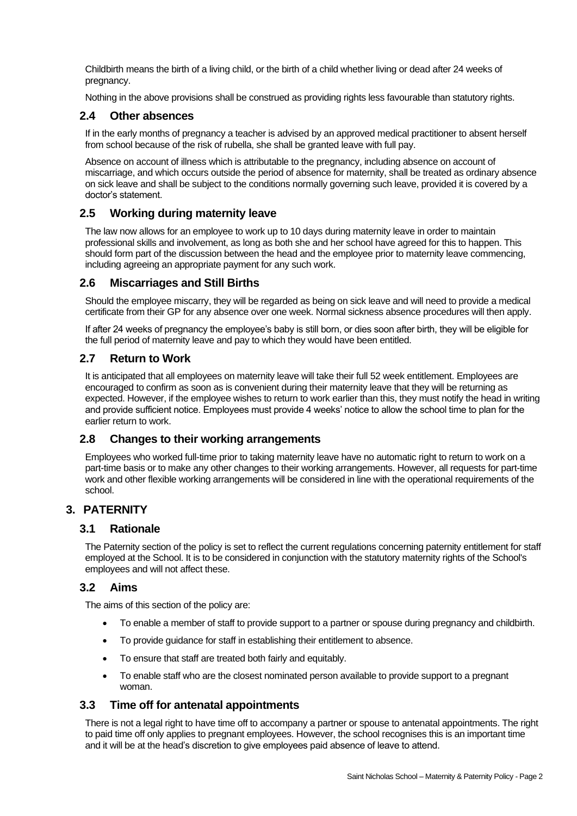Childbirth means the birth of a living child, or the birth of a child whether living or dead after 24 weeks of pregnancy.

Nothing in the above provisions shall be construed as providing rights less favourable than statutory rights.

## **2.4 Other absences**

If in the early months of pregnancy a teacher is advised by an approved medical practitioner to absent herself from school because of the risk of rubella, she shall be granted leave with full pay.

Absence on account of illness which is attributable to the pregnancy, including absence on account of miscarriage, and which occurs outside the period of absence for maternity, shall be treated as ordinary absence on sick leave and shall be subject to the conditions normally governing such leave, provided it is covered by a doctor's statement.

## **2.5 Working during maternity leave**

The law now allows for an employee to work up to 10 days during maternity leave in order to maintain professional skills and involvement, as long as both she and her school have agreed for this to happen. This should form part of the discussion between the head and the employee prior to maternity leave commencing, including agreeing an appropriate payment for any such work.

## **2.6 Miscarriages and Still Births**

Should the employee miscarry, they will be regarded as being on sick leave and will need to provide a medical certificate from their GP for any absence over one week. Normal sickness absence procedures will then apply.

If after 24 weeks of pregnancy the employee's baby is still born, or dies soon after birth, they will be eligible for the full period of maternity leave and pay to which they would have been entitled.

## **2.7 Return to Work**

It is anticipated that all employees on maternity leave will take their full 52 week entitlement. Employees are encouraged to confirm as soon as is convenient during their maternity leave that they will be returning as expected. However, if the employee wishes to return to work earlier than this, they must notify the head in writing and provide sufficient notice. Employees must provide 4 weeks' notice to allow the school time to plan for the earlier return to work.

## **2.8 Changes to their working arrangements**

Employees who worked full-time prior to taking maternity leave have no automatic right to return to work on a part-time basis or to make any other changes to their working arrangements. However, all requests for part-time work and other flexible working arrangements will be considered in line with the operational requirements of the school.

## **3. PATERNITY**

## **3.1 Rationale**

The Paternity section of the policy is set to reflect the current regulations concerning paternity entitlement for staff employed at the School. It is to be considered in conjunction with the statutory maternity rights of the School's employees and will not affect these.

## **3.2 Aims**

The aims of this section of the policy are:

- To enable a member of staff to provide support to a partner or spouse during pregnancy and childbirth.
- To provide guidance for staff in establishing their entitlement to absence.
- To ensure that staff are treated both fairly and equitably.
- To enable staff who are the closest nominated person available to provide support to a pregnant woman.

## **3.3 Time off for antenatal appointments**

There is not a legal right to have time off to accompany a partner or spouse to antenatal appointments. The right to paid time off only applies to pregnant employees. However, the school recognises this is an important time and it will be at the head's discretion to give employees paid absence of leave to attend.